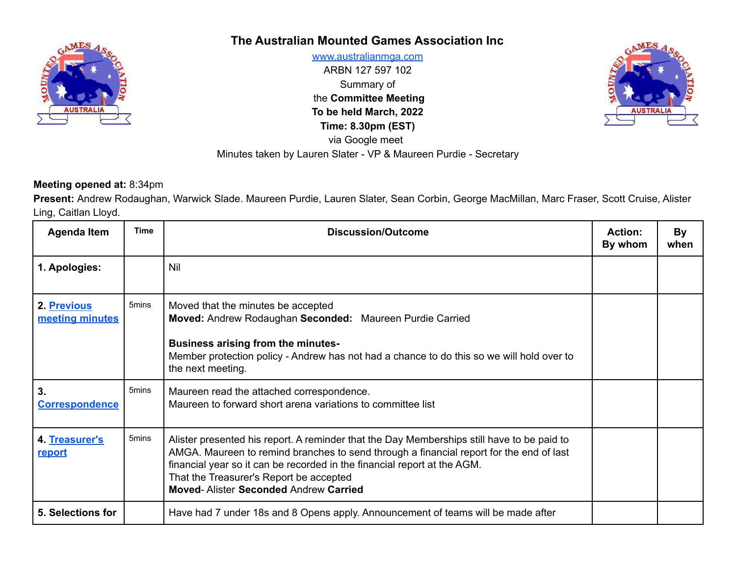

## **The Australian Mounted Games Association Inc**

[www.australianmga.com](http://www.australianmga.com) ARBN 127 597 102 Summary of the **Committee Meeting To be held March, 2022 Time: 8.30pm (EST)** via Google meet Minutes taken by Lauren Slater - VP & Maureen Purdie - Secretary



## **Meeting opened at:** 8:34pm

**Present:** Andrew Rodaughan, Warwick Slade. Maureen Purdie, Lauren Slater, Sean Corbin, George MacMillan, Marc Fraser, Scott Cruise, Alister Ling, Caitlan Lloyd.

| <b>Agenda Item</b>             | <b>Time</b>       | Discussion/Outcome                                                                                                                                                                                                                                                                                                                                           | <b>Action:</b><br>By whom | By<br>when |
|--------------------------------|-------------------|--------------------------------------------------------------------------------------------------------------------------------------------------------------------------------------------------------------------------------------------------------------------------------------------------------------------------------------------------------------|---------------------------|------------|
| 1. Apologies:                  |                   | Nil                                                                                                                                                                                                                                                                                                                                                          |                           |            |
| 2. Previous<br>meeting minutes | 5 <sub>mins</sub> | Moved that the minutes be accepted<br>Moved: Andrew Rodaughan Seconded: Maureen Purdie Carried<br><b>Business arising from the minutes-</b><br>Member protection policy - Andrew has not had a chance to do this so we will hold over to<br>the next meeting.                                                                                                |                           |            |
| 3.<br><b>Correspondence</b>    | 5 <sub>mins</sub> | Maureen read the attached correspondence.<br>Maureen to forward short arena variations to committee list                                                                                                                                                                                                                                                     |                           |            |
| 4. Treasurer's<br>report       | 5 <sub>mins</sub> | Alister presented his report. A reminder that the Day Memberships still have to be paid to<br>AMGA. Maureen to remind branches to send through a financial report for the end of last<br>financial year so it can be recorded in the financial report at the AGM.<br>That the Treasurer's Report be accepted<br><b>Moved-Alister Seconded Andrew Carried</b> |                           |            |
| 5. Selections for              |                   | Have had 7 under 18s and 8 Opens apply. Announcement of teams will be made after                                                                                                                                                                                                                                                                             |                           |            |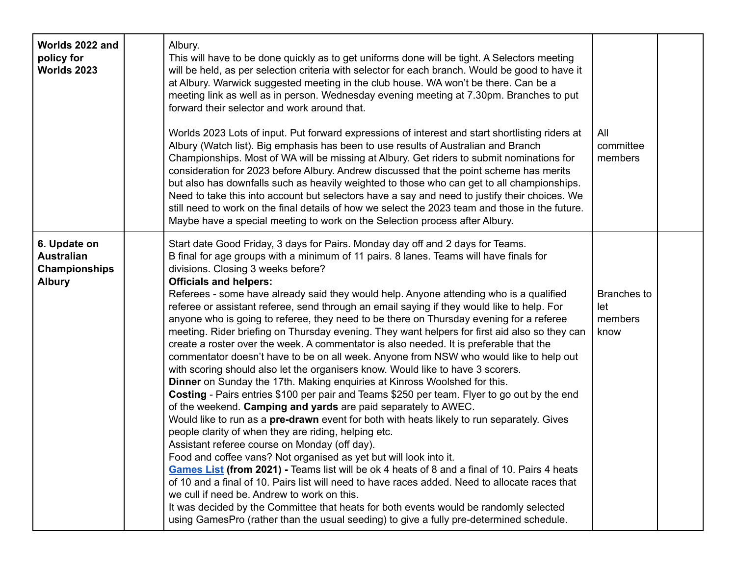| Worlds 2022 and<br>policy for<br>Worlds 2023                               | Albury.<br>This will have to be done quickly as to get uniforms done will be tight. A Selectors meeting<br>will be held, as per selection criteria with selector for each branch. Would be good to have it<br>at Albury. Warwick suggested meeting in the club house. WA won't be there. Can be a<br>meeting link as well as in person. Wednesday evening meeting at 7.30pm. Branches to put<br>forward their selector and work around that.<br>Worlds 2023 Lots of input. Put forward expressions of interest and start shortlisting riders at<br>Albury (Watch list). Big emphasis has been to use results of Australian and Branch<br>Championships. Most of WA will be missing at Albury. Get riders to submit nominations for<br>consideration for 2023 before Albury. Andrew discussed that the point scheme has merits<br>but also has downfalls such as heavily weighted to those who can get to all championships.<br>Need to take this into account but selectors have a say and need to justify their choices. We<br>still need to work on the final details of how we select the 2023 team and those in the future.<br>Maybe have a special meeting to work on the Selection process after Albury.                                                                                                                                                                                                                                                                                                                                                                                                                                                                                                                                                                                                                                                            | All<br>committee<br>members                  |  |
|----------------------------------------------------------------------------|---------------------------------------------------------------------------------------------------------------------------------------------------------------------------------------------------------------------------------------------------------------------------------------------------------------------------------------------------------------------------------------------------------------------------------------------------------------------------------------------------------------------------------------------------------------------------------------------------------------------------------------------------------------------------------------------------------------------------------------------------------------------------------------------------------------------------------------------------------------------------------------------------------------------------------------------------------------------------------------------------------------------------------------------------------------------------------------------------------------------------------------------------------------------------------------------------------------------------------------------------------------------------------------------------------------------------------------------------------------------------------------------------------------------------------------------------------------------------------------------------------------------------------------------------------------------------------------------------------------------------------------------------------------------------------------------------------------------------------------------------------------------------------------------------------------------------------------------------------------------------|----------------------------------------------|--|
| 6. Update on<br><b>Australian</b><br><b>Championships</b><br><b>Albury</b> | Start date Good Friday, 3 days for Pairs. Monday day off and 2 days for Teams.<br>B final for age groups with a minimum of 11 pairs. 8 lanes. Teams will have finals for<br>divisions. Closing 3 weeks before?<br><b>Officials and helpers:</b><br>Referees - some have already said they would help. Anyone attending who is a qualified<br>referee or assistant referee, send through an email saying if they would like to help. For<br>anyone who is going to referee, they need to be there on Thursday evening for a referee<br>meeting. Rider briefing on Thursday evening. They want helpers for first aid also so they can<br>create a roster over the week. A commentator is also needed. It is preferable that the<br>commentator doesn't have to be on all week. Anyone from NSW who would like to help out<br>with scoring should also let the organisers know. Would like to have 3 scorers.<br>Dinner on Sunday the 17th. Making enquiries at Kinross Woolshed for this.<br>Costing - Pairs entries \$100 per pair and Teams \$250 per team. Flyer to go out by the end<br>of the weekend. Camping and yards are paid separately to AWEC.<br>Would like to run as a pre-drawn event for both with heats likely to run separately. Gives<br>people clarity of when they are riding, helping etc.<br>Assistant referee course on Monday (off day).<br>Food and coffee vans? Not organised as yet but will look into it.<br>Games List (from 2021) - Teams list will be ok 4 heats of 8 and a final of 10. Pairs 4 heats<br>of 10 and a final of 10. Pairs list will need to have races added. Need to allocate races that<br>we cull if need be. Andrew to work on this.<br>It was decided by the Committee that heats for both events would be randomly selected<br>using GamesPro (rather than the usual seeding) to give a fully pre-determined schedule. | <b>Branches to</b><br>let<br>members<br>know |  |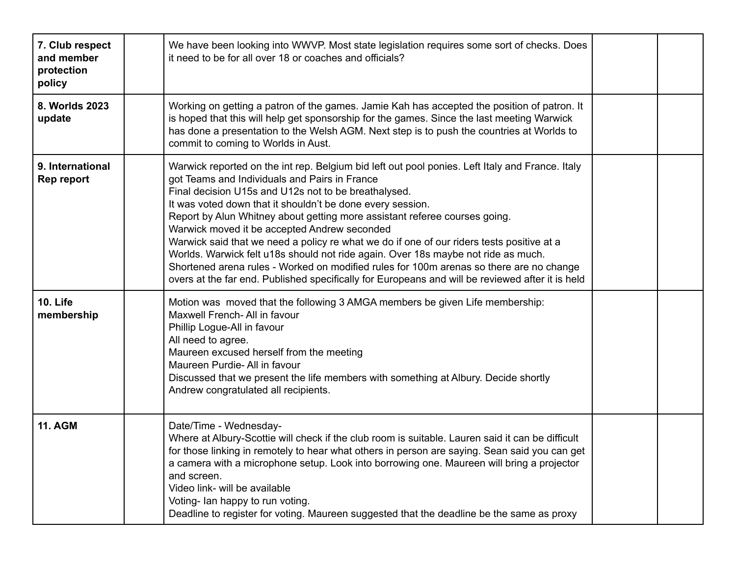| 7. Club respect<br>and member<br>protection<br>policy | We have been looking into WWVP. Most state legislation requires some sort of checks. Does<br>it need to be for all over 18 or coaches and officials?                                                                                                                                                                                                                                                                                                                                                                                                                                                                                                                                                                                                                                  |  |
|-------------------------------------------------------|---------------------------------------------------------------------------------------------------------------------------------------------------------------------------------------------------------------------------------------------------------------------------------------------------------------------------------------------------------------------------------------------------------------------------------------------------------------------------------------------------------------------------------------------------------------------------------------------------------------------------------------------------------------------------------------------------------------------------------------------------------------------------------------|--|
| 8. Worlds 2023<br>update                              | Working on getting a patron of the games. Jamie Kah has accepted the position of patron. It<br>is hoped that this will help get sponsorship for the games. Since the last meeting Warwick<br>has done a presentation to the Welsh AGM. Next step is to push the countries at Worlds to<br>commit to coming to Worlds in Aust.                                                                                                                                                                                                                                                                                                                                                                                                                                                         |  |
| 9. International<br><b>Rep report</b>                 | Warwick reported on the int rep. Belgium bid left out pool ponies. Left Italy and France. Italy<br>got Teams and Individuals and Pairs in France<br>Final decision U15s and U12s not to be breathalysed.<br>It was voted down that it shouldn't be done every session.<br>Report by Alun Whitney about getting more assistant referee courses going.<br>Warwick moved it be accepted Andrew seconded<br>Warwick said that we need a policy re what we do if one of our riders tests positive at a<br>Worlds. Warwick felt u18s should not ride again. Over 18s maybe not ride as much.<br>Shortened arena rules - Worked on modified rules for 100m arenas so there are no change<br>overs at the far end. Published specifically for Europeans and will be reviewed after it is held |  |
| <b>10. Life</b><br>membership                         | Motion was moved that the following 3 AMGA members be given Life membership:<br>Maxwell French- All in favour<br>Phillip Logue-All in favour<br>All need to agree.<br>Maureen excused herself from the meeting<br>Maureen Purdie- All in favour<br>Discussed that we present the life members with something at Albury. Decide shortly<br>Andrew congratulated all recipients.                                                                                                                                                                                                                                                                                                                                                                                                        |  |
| <b>11. AGM</b>                                        | Date/Time - Wednesday-<br>Where at Albury-Scottie will check if the club room is suitable. Lauren said it can be difficult<br>for those linking in remotely to hear what others in person are saying. Sean said you can get<br>a camera with a microphone setup. Look into borrowing one. Maureen will bring a projector<br>and screen.<br>Video link- will be available<br>Voting- Ian happy to run voting.<br>Deadline to register for voting. Maureen suggested that the deadline be the same as proxy                                                                                                                                                                                                                                                                             |  |